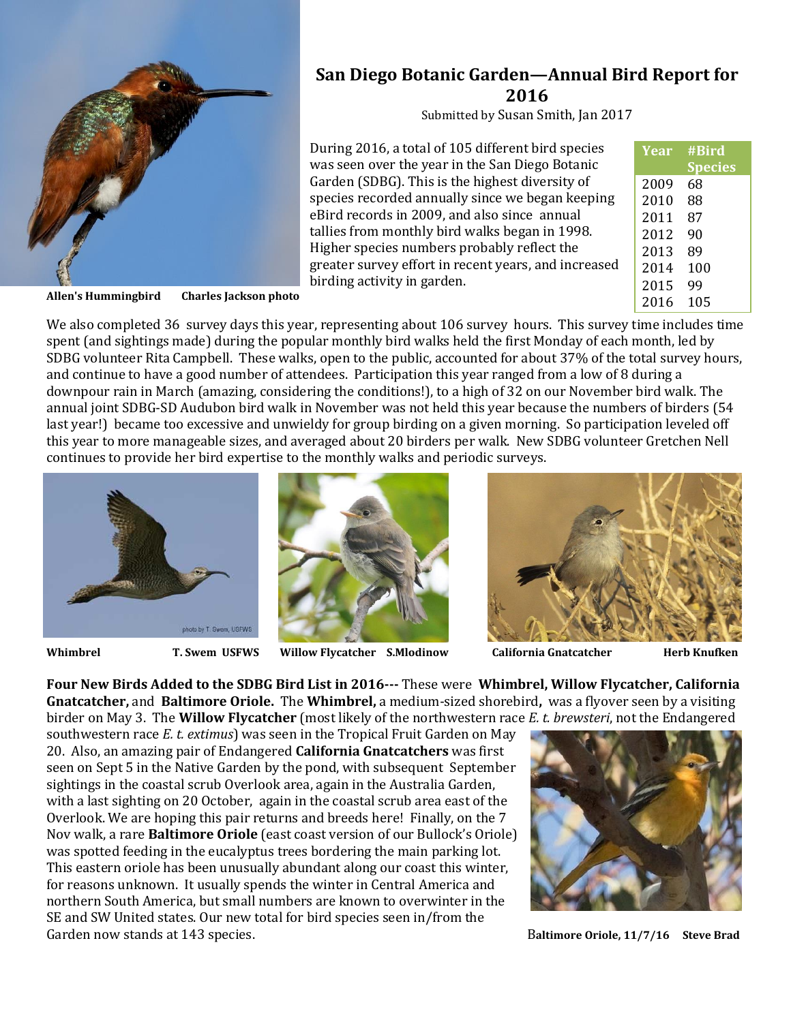

**San Diego Botanic Garden—Annual Bird Report for 2016**

Submitted by Susan Smith, Jan 2017

During 2016, a total of 105 different bird species was seen over the year in the San Diego Botanic Garden (SDBG). This is the highest diversity of species recorded annually since we began keeping eBird records in 2009, and also since annual tallies from monthly bird walks began in 1998. Higher species numbers probably reflect the greater survey effort in recent years, and increased birding activity in garden.

| Year | #Bird          |
|------|----------------|
|      | <b>Species</b> |
| 2009 | 68             |
| 2010 | 88             |
| 2011 | 87             |
| 2012 | 90             |
| 2013 | 89             |
| 2014 | 100            |
| 2015 | 99             |
| 2016 | 105            |

**Allen's Hummingbird Charles Jackson photo**

We also completed 36 survey days this year, representing about 106 survey hours. This survey time includes time spent (and sightings made) during the popular monthly bird walks held the first Monday of each month, led by SDBG volunteer Rita Campbell. These walks, open to the public, accounted for about 37% of the total survey hours, and continue to have a good number of attendees. Participation this year ranged from a low of 8 during a downpour rain in March (amazing, considering the conditions!), to a high of 32 on our November bird walk. The annual joint SDBG-SD Audubon bird walk in November was not held this year because the numbers of birders (54 last year!) became too excessive and unwieldy for group birding on a given morning. So participation leveled off this year to more manageable sizes, and averaged about 20 birders per walk. New SDBG volunteer Gretchen Nell continues to provide her bird expertise to the monthly walks and periodic surveys.





**Whimbrel T. Swem USFWS Willow Flycatcher S.Mlodinow California Gnatcatcher Herb Knufken**



**Four New Birds Added to the SDBG Bird List in 2016---** These were **Whimbrel, Willow Flycatcher, California Gnatcatcher,** and **Baltimore Oriole.** The **Whimbrel,** a medium-sized shorebird**,** was a flyover seen by a visiting birder on May 3. The **Willow Flycatcher** (most likely of the northwestern race *E. t. brewsteri*, not the Endangered

southwestern race *E. t. extimus*) was seen in the Tropical Fruit Garden on May 20. Also, an amazing pair of Endangered **California Gnatcatchers** was first seen on Sept 5 in the Native Garden by the pond, with subsequent September sightings in the coastal scrub Overlook area, again in the Australia Garden, with a last sighting on 20 October, again in the coastal scrub area east of the Overlook. We are hoping this pair returns and breeds here! Finally, on the 7 Nov walk, a rare **Baltimore Oriole** (east coast version of our Bullock's Oriole) was spotted feeding in the eucalyptus trees bordering the main parking lot. This eastern oriole has been unusually abundant along our coast this winter, for reasons unknown. It usually spends the winter in Central America and northern South America, but small numbers are known to overwinter in the SE and SW United states. Our new total for bird species seen in/from the Garden now stands at 143 species. **Baltimore Oriole, 11/7/16** Steve Brad